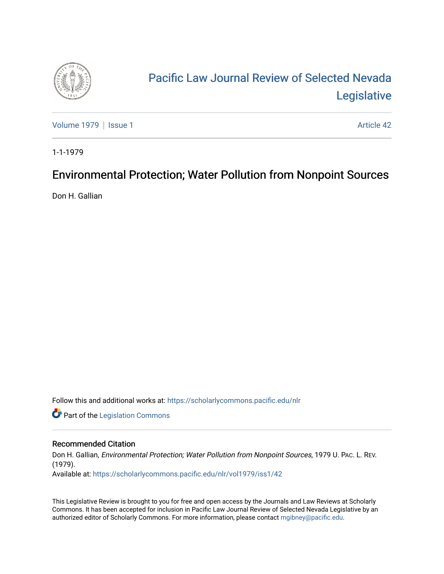

## [Pacific Law Journal Review of Selected Nevada](https://scholarlycommons.pacific.edu/nlr)  [Legislative](https://scholarlycommons.pacific.edu/nlr)

[Volume 1979](https://scholarlycommons.pacific.edu/nlr/vol1979) | [Issue 1](https://scholarlycommons.pacific.edu/nlr/vol1979/iss1) Article 42

1-1-1979

## Environmental Protection; Water Pollution from Nonpoint Sources

Don H. Gallian

Follow this and additional works at: [https://scholarlycommons.pacific.edu/nlr](https://scholarlycommons.pacific.edu/nlr?utm_source=scholarlycommons.pacific.edu%2Fnlr%2Fvol1979%2Fiss1%2F42&utm_medium=PDF&utm_campaign=PDFCoverPages) 

**Part of the [Legislation Commons](http://network.bepress.com/hgg/discipline/859?utm_source=scholarlycommons.pacific.edu%2Fnlr%2Fvol1979%2Fiss1%2F42&utm_medium=PDF&utm_campaign=PDFCoverPages)** 

## Recommended Citation

Don H. Gallian, Environmental Protection; Water Pollution from Nonpoint Sources, 1979 U. PAC. L. REV. (1979). Available at: [https://scholarlycommons.pacific.edu/nlr/vol1979/iss1/42](https://scholarlycommons.pacific.edu/nlr/vol1979/iss1/42?utm_source=scholarlycommons.pacific.edu%2Fnlr%2Fvol1979%2Fiss1%2F42&utm_medium=PDF&utm_campaign=PDFCoverPages)

This Legislative Review is brought to you for free and open access by the Journals and Law Reviews at Scholarly Commons. It has been accepted for inclusion in Pacific Law Journal Review of Selected Nevada Legislative by an authorized editor of Scholarly Commons. For more information, please contact [mgibney@pacific.edu](mailto:mgibney@pacific.edu).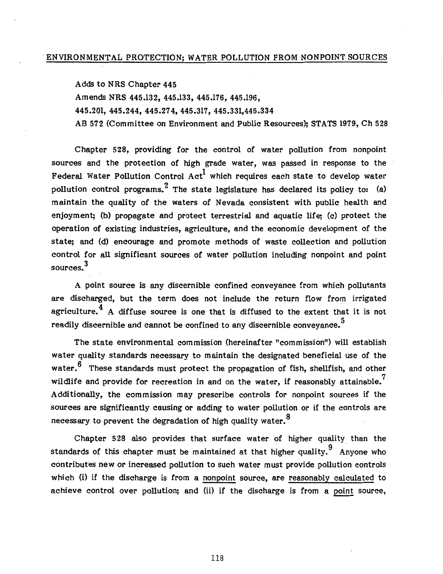Adds to NRS Chapter 445

Amends NRS 445.132, 445.133, 445.176, 445.196,

445.201, 445.244, 445.27 4, 445.317' 445.331,445.334

AB 572 {Committee on Environment and Public Resources); STATS 1979, Ch 528

Chapter 528, providing for the control of water pollution from nonpoint sources and the protection of high grade water, was passed in response to the Federal Water Pollution Control  $Act^{\dagger}$  which requires each state to develop water pollution control programs. <sup>2</sup> The state legislature has declared its policy to: (a) maintain the quality of the waters of Nevada consistent with public health and enjoyment; (b) propagate and protect terrestrial and aquatic life; (c) protect the operation of existing industries, agriculture, and the economic development of the state; and (d) encourage and promote methods of waste collection and pollution control for all significant sources of water pollution including nonpoint and point sources. 3

A point source is any discernible confined conveyance from which pollutants are discharged, but the term does not include the return flow from irrigated agriculture.<sup>4</sup> A diffuse source is one that is diffused to the extent that it is not readily discernible and cannot be confined to any discernible conveyance.  $\rm ^5$ 

The state environmental commission (hereinafter "commission") will establish water quality standards necessary to maintain the designated beneficial use of the water. $6$  These standards must protect the propagation of fish, shellfish, and other wildlife and provide for recreation in and on the water, if reasonably attainable.<sup>7</sup> Additionally, the commission may prescribe controls for nonpoint sources if the sources are significantly causing or adding to water pollution or if the controls are necessary to prevent the degradation of high quality water.<sup>8</sup>

Chapter 528 also provides that surface water of higher quality than the standards of this chapter must be maintained at that higher quality.  $9$  Anyone who contributes new or increased pollution to such water must provide pollution controls which (i) if the discharge is from a nonpoint source, are reasonably calculated to achieve control over pollution; and (ii) if the discharge is from a point source,

118